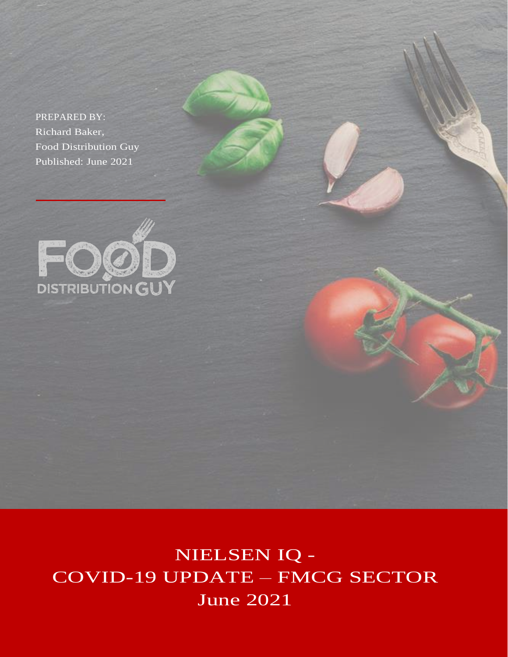PREPARED BY: Richard Baker, Food Distribution Guy Published: June 2021



NIELSEN IQ - COVID-19 UPDATE – FMCG SECTOR June 2021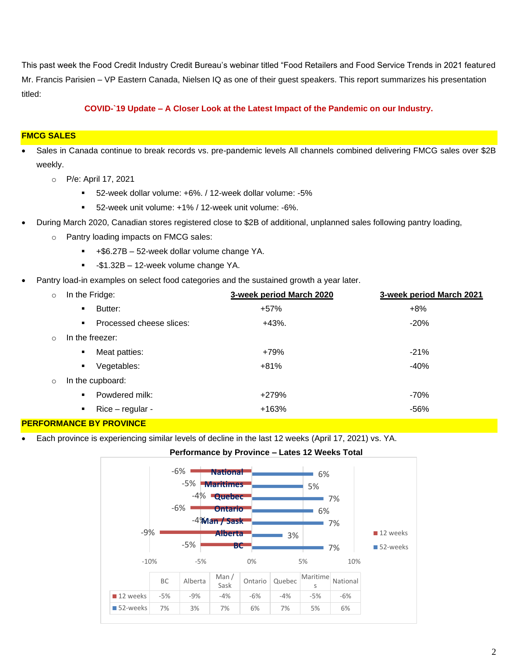This past week the Food Credit Industry Credit Bureau's webinar titled "Food Retailers and Food Service Trends in 2021 featured Mr. Francis Parisien – VP Eastern Canada, Nielsen IQ as one of their guest speakers. This report summarizes his presentation titled:

## **COVID-`19 Update – A Closer Look at the Latest Impact of the Pandemic on our Industry.**

#### **FMCG SALES**

- Sales in Canada continue to break records vs. pre-pandemic levels All channels combined delivering FMCG sales over \$2B weekly.
	- o P/e: April 17, 2021
		- 52-week dollar volume: +6%. / 12-week dollar volume: -5%
		- 52-week unit volume: +1% / 12-week unit volume: -6%.
- During March 2020, Canadian stores registered close to \$2B of additional, unplanned sales following pantry loading,
	- o Pantry loading impacts on FMCG sales:
		- +\$6.27B 52-week dollar volume change YA.
		- **•** -\$1.32B 12-week volume change YA.
- Pantry load-in examples on select food categories and the sustained growth a year later.

| $\circ$ | In the Fridge:                             | 3-week period March 2020 | 3-week period March 2021 |
|---------|--------------------------------------------|--------------------------|--------------------------|
|         | Butter:<br>$\blacksquare$                  | $+57%$                   | $+8%$                    |
|         | Processed cheese slices:<br>$\blacksquare$ | $+43%$ .                 | $-20%$                   |
| $\circ$ | In the freezer:                            |                          |                          |
|         | Meat patties:<br>٠                         | +79%                     | $-21%$                   |
|         | Vegetables:<br>٠                           | $+81%$                   | $-40%$                   |
| $\circ$ | In the cupboard:                           |                          |                          |
|         | Powdered milk:<br>$\blacksquare$           | +279%                    | -70%                     |
|         | $Rice$ – regular -<br>٠                    | +163%                    | $-56%$                   |

#### **PERFORMANCE BY PROVINCE**

• Each province is experiencing similar levels of decline in the last 12 weeks (April 17, 2021) vs. YA.



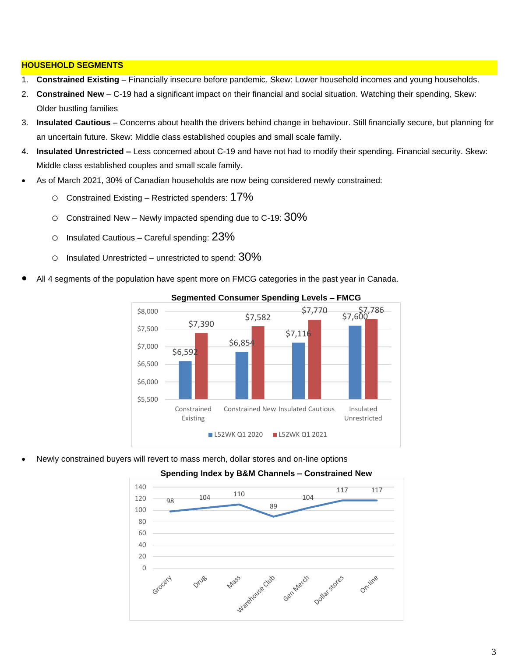## **HOUSEHOLD SEGMENTS**

- 1. **Constrained Existing** Financially insecure before pandemic. Skew: Lower household incomes and young households.
- 2. **Constrained New** C-19 had a significant impact on their financial and social situation. Watching their spending, Skew: Older bustling families
- 3. **Insulated Cautious** Concerns about health the drivers behind change in behaviour. Still financially secure, but planning for an uncertain future. Skew: Middle class established couples and small scale family.
- 4. **Insulated Unrestricted –** Less concerned about C-19 and have not had to modify their spending. Financial security. Skew: Middle class established couples and small scale family.
- As of March 2021, 30% of Canadian households are now being considered newly constrained:
	- $\circ$  Constrained Existing Restricted spenders: 17%
	- $\circ$  Constrained New Newly impacted spending due to C-19:  $30\%$
	- $\circ$  Insulated Cautious Careful spending:  $23\%$
	- $\circ$  Insulated Unrestricted unrestricted to spend:  $30\%$
- All 4 segments of the population have spent more on FMCG categories in the past year in Canada.



#### **Segmented Consumer Spending Levels – FMCG**

• Newly constrained buyers will revert to mass merch, dollar stores and on-line options



# **Spending Index by B&M Channels – Constrained New**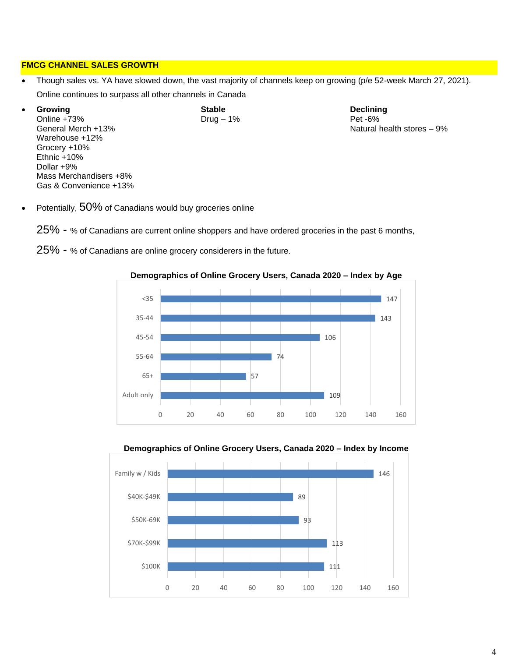## **FMCG CHANNEL SALES GROWTH**

- Though sales vs. YA have slowed down, the vast majority of channels keep on growing (p/e 52-week March 27, 2021). Online continues to surpass all other channels in Canada
- **Growing Stable Declining** Online +73%<br>General Merch +13% Warehouse +12% Grocery +10% Ethnic +10% Dollar +9% Mass Merchandisers +8% Gas & Convenience +13%

Natural health stores  $-9\%$ 

Potentially, 50% of Canadians would buy groceries online

25% - % of Canadians are current online shoppers and have ordered groceries in the past 6 months,







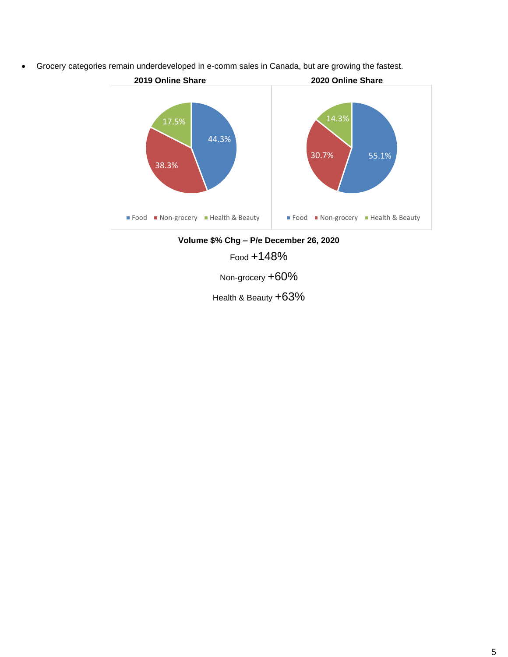• Grocery categories remain underdeveloped in e-comm sales in Canada, but are growing the fastest.



**Volume \$% Chg – P/e December 26, 2020**

Food +148%

Non-grocery +60%

Health & Beauty +63%